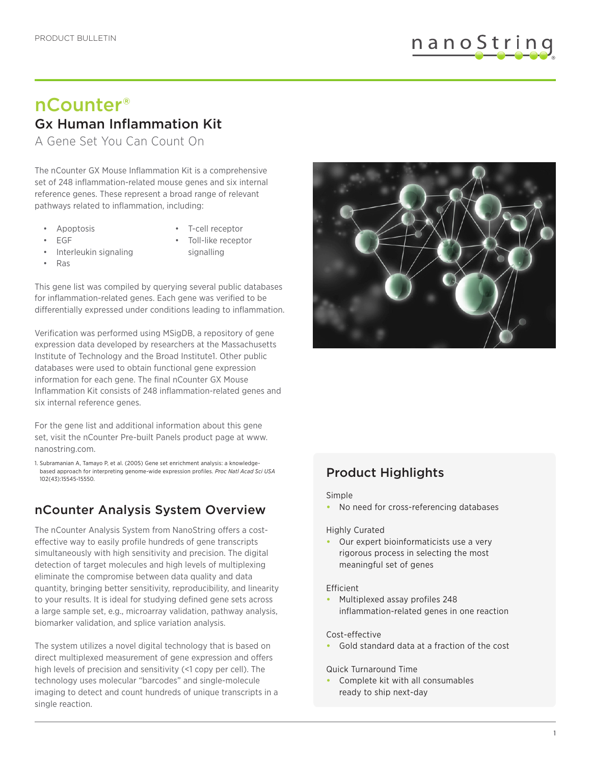

# nCounter® Gx Human Inflammation Kit

A Gene Set You Can Count On

The nCounter GX Mouse Inflammation Kit is a comprehensive set of 248 inflammation-related mouse genes and six internal reference genes. These represent a broad range of relevant pathways related to inflammation, including:

**Apoptosis** 

• T-cell receptor

• EGF

• Ras

- Toll-like receptor signalling
- Interleukin signaling
- 

This gene list was compiled by querying several public databases for inflammation-related genes. Each gene was verified to be differentially expressed under conditions leading to inflammation.

Verification was performed using MSigDB, a repository of gene expression data developed by researchers at the Massachusetts Institute of Technology and the Broad Institute1. Other public databases were used to obtain functional gene expression information for each gene. The final nCounter GX Mouse Inflammation Kit consists of 248 inflammation-related genes and six internal reference genes.

For the gene list and additional information about this gene set, visit the nCounter Pre-built Panels product page at www. nanostring.com.

1. Subramanian A, Tamayo P, et al. (2005) Gene set enrichment analysis: a knowledgebased approach for interpreting genome-wide expression profiles. *Proc Natl Acad Sci USA* 102(43):15545-15550.

# nCounter Analysis System Overview

The nCounter Analysis System from NanoString offers a costeffective way to easily profile hundreds of gene transcripts simultaneously with high sensitivity and precision. The digital detection of target molecules and high levels of multiplexing eliminate the compromise between data quality and data quantity, bringing better sensitivity, reproducibility, and linearity to your results. It is ideal for studying defined gene sets across a large sample set, e.g., microarray validation, pathway analysis, biomarker validation, and splice variation analysis.

The system utilizes a novel digital technology that is based on direct multiplexed measurement of gene expression and offers high levels of precision and sensitivity (<1 copy per cell). The technology uses molecular "barcodes" and single-molecule imaging to detect and count hundreds of unique transcripts in a single reaction.



# Product Highlights

### Simple

**•** No need for cross-referencing databases

### Highly Curated

**•** Our expert bioinformaticists use a very rigorous process in selecting the most meaningful set of genes

### Efficient

**•** Multiplexed assay profiles 248 inflammation-related genes in one reaction

### Cost-effective

**•** Gold standard data at a fraction of the cost

### Quick Turnaround Time

**•** Complete kit with all consumables ready to ship next-day